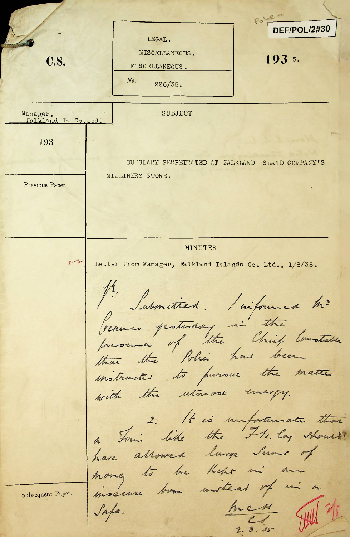Polee DEF/POL/2#30 LEGAL. MISCELLANEOUS. 193 5. **C.S.** MISCELLANEOUS.  $No.$  $226/35.$ SUBJECT. Manager, Falkland Is Co. Ltd. 193 BURGLARY PERPETRATED AT FALKLAND ISLAND COMPANY'S MILLINERY STORE. Previous Paper. MINUTES. Letter from Manager, Falkland Islands Co. Ltd., 1/8/35. Premier pestinant de l'informé de tres<br>freserva pestinant un the Chief Constation instructed to pursue the matter utmost energy. with the 2. It is unfortunate that have allowed large Sums of mong to be kept in an Subsequent Paper. het Safe.  $2.8.95-$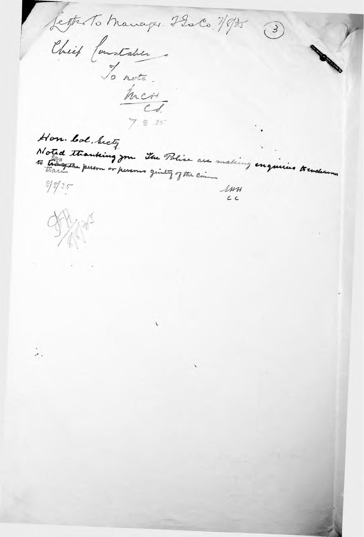Letterto Manager. Holo. 1/92  $\odot$ Chief Constate To note.  $7.8.35$ Hon. Col. Secty Noted thanking you . The Police are making engineer & enclean  $9935 \mathcal{L}$  $c c$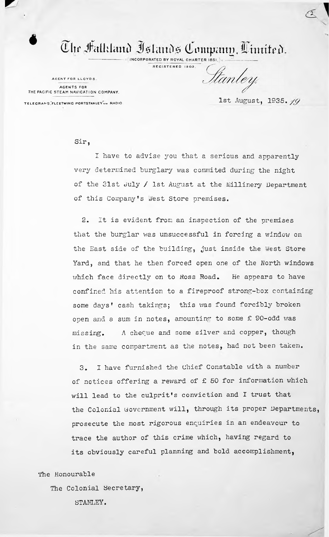$\bullet$   $\sim$   $\bullet$ Chr Falkland Islamds Company

INCORPORATED BY ROYAL CHART REGISTERED 1902.

AGENT FOR LLOYDS AGENTS FOR THE PACIFIC STEAM NAVIGATION COMPANY.

/

Stanley.

TELEGRAMS, FLEETWING PORTSTANLEY VIA RADIO. 1St August, 1935. 19

Sir,

I have to advise you that a serious and apparently very determined burglary was commited during the night of the 31st July / 1st August at the Millinery Department of this Company's West Store premises.

2. It is evident from an inspection of the premises that the burglar was unsuccessful in forcing a window on the East side of the building, just inside the West Store Yard, and that he then forced open one of the North windows which face directly on to Ross Road. He appears to have confined his attention to a fireproof strong-box containing some days' cash takings; this was found forcibly broken open and a sum in notes, amounting to some £ 90-odd was missing. A cheque and some silver and copper, though in the same compartment as the notes, had not been taken.

3. I have furnished the Chief Constable with a number of notices offering a reward of £ 50 for information which will lead to the culprit'<sup>s</sup> conviction and I trust that the Colonial Government will, through its proper Departments, prosecute the most rigorous enquiries in an endeavour to trace the author of this crime which, having regard to its obviously careful planning and bold accomplishment,

The Honourable

The Colonial Secretary,

STANLEY.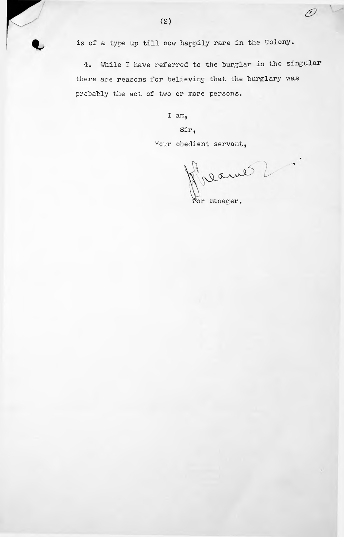

is of a type up till now happily rare in the Colony.

4. While I have referred to the burglar in the singular there are reasons for believing that the burglary was probably the act of two or more persons.

I am,

Sir,

Your obedient servant,

Rreames

 $\mathcal{D}$